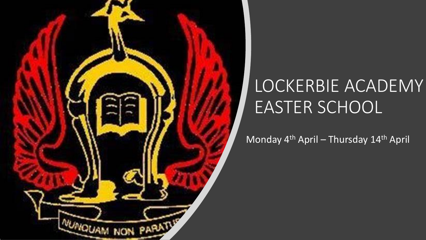

## LOCKERBIE ACADEMY EASTER SCHOOL

Monday 4<sup>th</sup> April – Thursday 14<sup>th</sup> April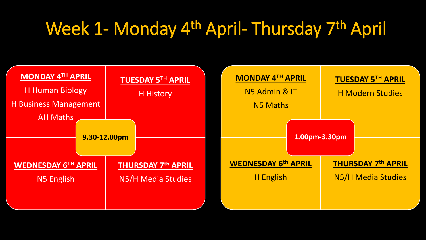## Week 1- Monday 4<sup>th</sup> April- Thursday 7<sup>th</sup> April

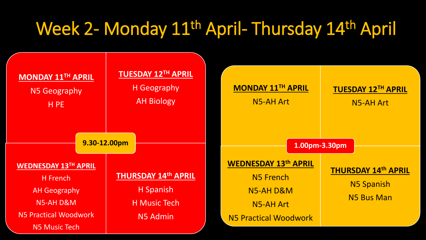## Week 2- Monday 11<sup>th</sup> April- Thursday 14<sup>th</sup> April

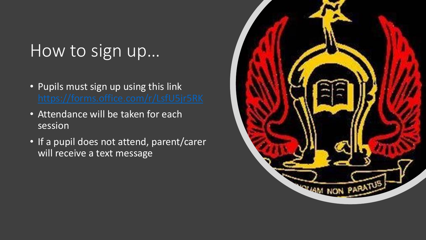## How to sign up…

- Pupils must sign up using this link
- Attendance will be taken for each session
- If a pupil does not attend, parent/carer will receive a text message